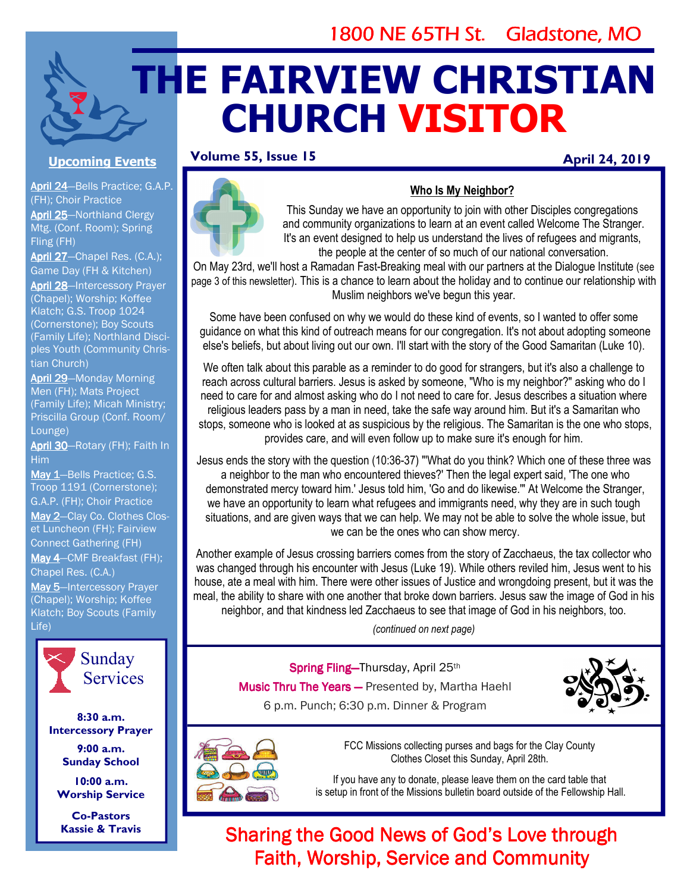## 1800 NE 65TH St. Gladstone, MO

# **THE FAIRVIEW CHRISTIAN CHURCH VISITOR**

#### **Volume 55, Issue 15**

#### **April 24, 2019**



#### **Who Is My Neighbor?**

This Sunday we have an opportunity to join with other Disciples congregations and community organizations to learn at an event called Welcome The Stranger. It's an event designed to help us understand the lives of refugees and migrants, the people at the center of so much of our national conversation.

On May 23rd, we'll host a Ramadan Fast-Breaking meal with our partners at the Dialogue Institute (see page 3 of this newsletter). This is a chance to learn about the holiday and to continue our relationship with Muslim neighbors we've begun this year.

Some have been confused on why we would do these kind of events, so I wanted to offer some guidance on what this kind of outreach means for our congregation. It's not about adopting someone else's beliefs, but about living out our own. I'll start with the story of the Good Samaritan (Luke 10).

We often talk about this parable as a reminder to do good for strangers, but it's also a challenge to reach across cultural barriers. Jesus is asked by someone, "Who is my neighbor?" asking who do I need to care for and almost asking who do I not need to care for. Jesus describes a situation where religious leaders pass by a man in need, take the safe way around him. But it's a Samaritan who stops, someone who is looked at as suspicious by the religious. The Samaritan is the one who stops, provides care, and will even follow up to make sure it's enough for him.

Jesus ends the story with the question (10:36-37) "'What do you think? Which one of these three was a neighbor to the man who encountered thieves?' Then the legal expert said, 'The one who demonstrated mercy toward him.' Jesus told him, 'Go and do likewise.'" At Welcome the Stranger, we have an opportunity to learn what refugees and immigrants need, why they are in such tough situations, and are given ways that we can help. We may not be able to solve the whole issue, but we can be the ones who can show mercy.

Another example of Jesus crossing barriers comes from the story of Zacchaeus, the tax collector who was changed through his encounter with Jesus (Luke 19). While others reviled him, Jesus went to his house, ate a meal with him. There were other issues of Justice and wrongdoing present, but it was the meal, the ability to share with one another that broke down barriers. Jesus saw the image of God in his neighbor, and that kindness led Zacchaeus to see that image of God in his neighbors, too.

*(continued on next page)* 

Spring Fling-Thursday, April 25th Music Thru The Years - Presented by, Martha Haehl 6 p.m. Punch; 6:30 p.m. Dinner & Program





FCC Missions collecting purses and bags for the Clay County Clothes Closet this Sunday, April 28th.

If you have any to donate, please leave them on the card table that is setup in front of the Missions bulletin board outside of the Fellowship Hall.

## Sharing the Good News of God's Love through Faith, Worship, Service and Community

**Upcoming Events** 

April 24-Bells Practice; G.A.P. (FH); Choir Practice April 25-Northland Clergy Mtg. (Conf. Room); Spring Fling (FH)

April 27-Chapel Res. (C.A.); Game Day (FH & Kitchen)

April 28-Intercessory Prayer (Chapel); Worship; Koffee Klatch; G.S. Troop 1024 (Cornerstone); Boy Scouts (Family Life); Northland Disciples Youth (Community Christian Church)

April 29-Monday Morning Men (FH); Mats Project (Family Life); Micah Ministry; Priscilla Group (Conf. Room/ Lounge)

April 30-Rotary (FH); Faith In Him

May 1-Bells Practice; G.S. Troop 1191 (Cornerstone); G.A.P. (FH); Choir Practice May 2-Clay Co. Clothes Closet Luncheon (FH); Fairview Connect Gathering (FH) May 4-CMF Breakfast (FH); Chapel Res. (C.A.) May 5-Intercessory Prayer (Chapel); Worship; Koffee Klatch; Boy Scouts (Family Life)



**8:30 a.m. Intercessory Prayer** 

> **9:00 a.m. Sunday School**

**10:00 a.m. Worship Service** 

**Co-Pastors Kassie & Travis**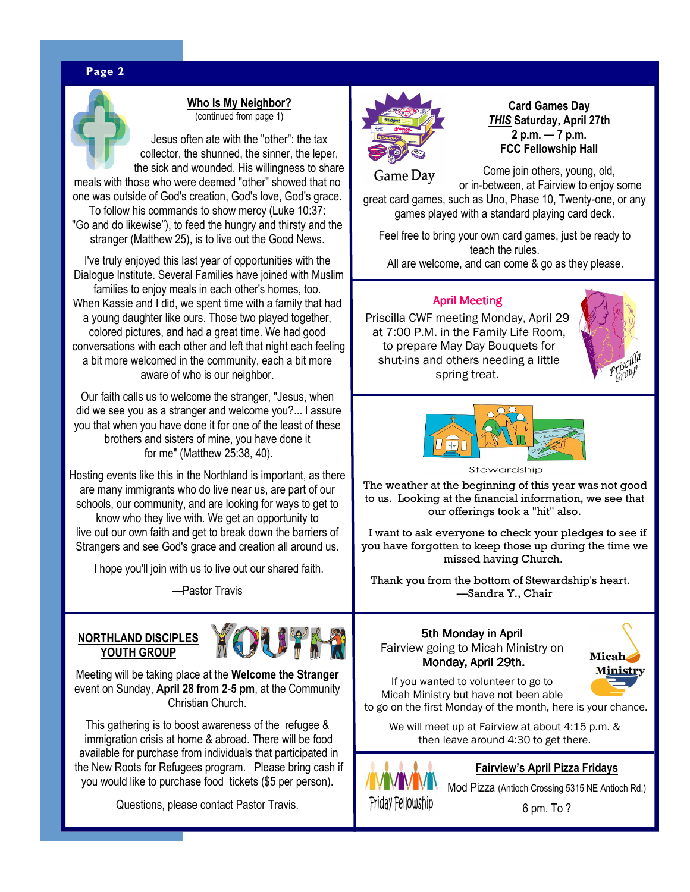#### **Page 2** WWW. **Page 2** WWW. **Page 2** WWW. **Page 2** WWW. **Page 2** WWW. **Page 2**



**Who Is My Neighbor?**  (continued from page 1)

Jesus often ate with the "other": the tax collector, the shunned, the sinner, the leper, the sick and wounded. His willingness to share meals with those who were deemed "other" showed that no

one was outside of God's creation, God's love, God's grace. To follow his commands to show mercy (Luke 10:37:

"Go and do likewise"), to feed the hungry and thirsty and the stranger (Matthew 25), is to live out the Good News.

I've truly enjoyed this last year of opportunities with the Dialogue Institute. Several Families have joined with Muslim families to enjoy meals in each other's homes, too. When Kassie and I did, we spent time with a family that had a young daughter like ours. Those two played together, colored pictures, and had a great time. We had good conversations with each other and left that night each feeling a bit more welcomed in the community, each a bit more aware of who is our neighbor.

Our faith calls us to welcome the stranger, "Jesus, when did we see you as a stranger and welcome you?... I assure you that when you have done it for one of the least of these brothers and sisters of mine, you have done it for me" (Matthew 25:38, 40).

Hosting events like this in the Northland is important, as there are many immigrants who do live near us, are part of our schools, our community, and are looking for ways to get to know who they live with. We get an opportunity to live out our own faith and get to break down the barriers of Strangers and see God's grace and creation all around us.

I hope you'll join with us to live out our shared faith.

—Pastor Travis

#### **NORTHLAND DISCIPLES YOUTH GROUP**



Meeting will be taking place at the **Welcome the Stranger**  event on Sunday, **April 28 from 2-5 pm**, at the Community Christian Church.

This gathering is to boost awareness of the refugee & immigration crisis at home & abroad. There will be food available for purchase from individuals that participated in the New Roots for Refugees program. Please bring cash if you would like to purchase food tickets (\$5 per person).

Questions, please contact Pastor Travis.



**Card Games Day**  *THIS* **Saturday, April 27th 2 p.m. — 7 p.m. FCC Fellowship Hall** 

Come join others, young, old, Game Day or in-between, at Fairview to enjoy some great card games, such as Uno, Phase 10, Twenty-one, or any games played with a standard playing card deck.

Feel free to bring your own card games, just be ready to teach the rules. All are welcome, and can come & go as they please.

#### **April Meeting**

Priscilla CWF meeting Monday, April 29 at 7:00 P.M. in the Family Life Room, to prepare May Day Bouquets for shut-ins and others needing a little spring treat.





Stewardship

The weather at the beginning of this year was not good to us. Looking at the financial information, we see that our offerings took a "hit" also.

 I want to ask everyone to check your pledges to see if you have forgotten to keep those up during the time we missed having Church.

Thank you from the bottom of Stewardship's heart. —Sandra Y., Chair

### 5th Monday in April

Fairview going to Micah Ministry on Monday, April 29th.



If you wanted to volunteer to go to Micah Ministry but have not been able to go on the first Monday of the month, here is your chance.

We will meet up at Fairview at about 4:15 p.m. & then leave around 4:30 to get there.



**Fairview's April Pizza Fridays** 

Mod Pizza (Antioch Crossing 5315 NE Antioch Rd.)

6 pm. To ?